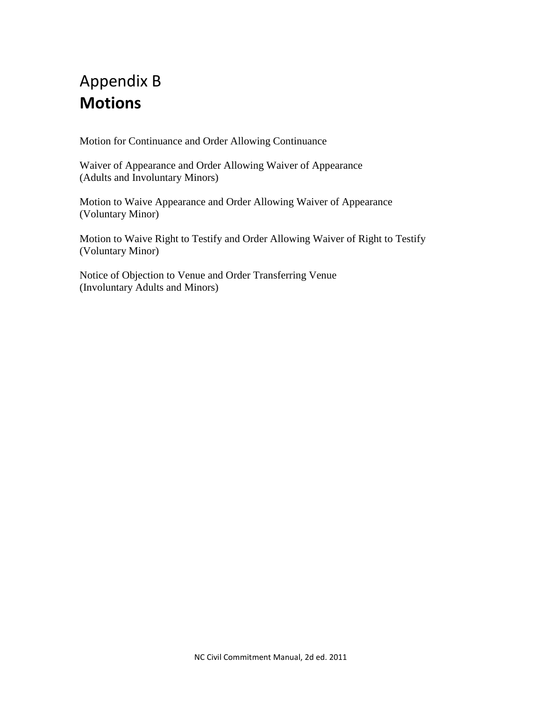# Appendix B **Motions**

Motion for Continuance and Order Allowing Continuance

Waiver of Appearance and Order Allowing Waiver of Appearance (Adults and Involuntary Minors)

Motion to Waive Appearance and Order Allowing Waiver of Appearance (Voluntary Minor)

Motion to Waive Right to Testify and Order Allowing Waiver of Right to Testify (Voluntary Minor)

Notice of Objection to Venue and Order Transferring Venue (Involuntary Adults and Minors)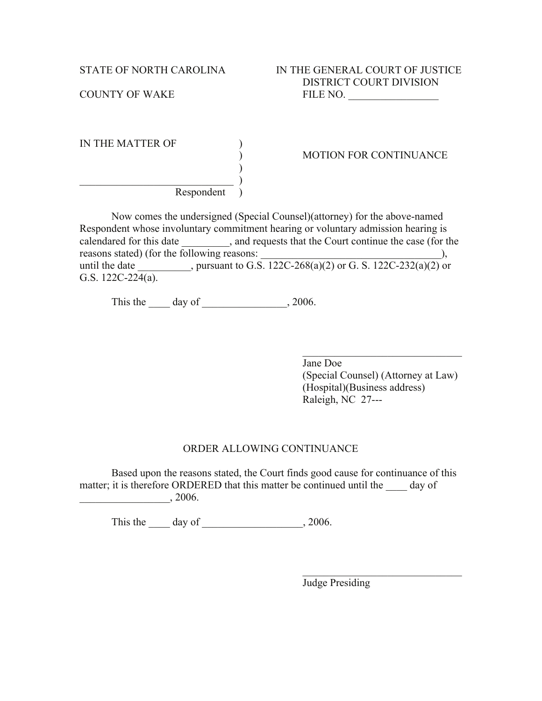| IN THE MATTER OF |  |
|------------------|--|
|                  |  |
|                  |  |
|                  |  |
| Respondent       |  |

#### ) MOTION FOR CONTINUANCE

Now comes the undersigned (Special Counsel)(attorney) for the above-named Respondent whose involuntary commitment hearing or voluntary admission hearing is calendared for this date \_\_\_\_\_\_\_\_, and requests that the Court continue the case (for the reasons stated) (for the following reasons: until the date \_\_\_\_\_\_\_\_\_, pursuant to G.S.  $122C-268(a)(2)$  or G. S.  $122C-232(a)(2)$  or G.S. 122C-224(a).

This the day of 3000.

 $\mathcal{L}_\text{max}$ Jane Doe (Special Counsel) (Attorney at Law) (Hospital)(Business address) Raleigh, NC 27---

 $\mathcal{L}_\text{max}$  , where  $\mathcal{L}_\text{max}$  and  $\mathcal{L}_\text{max}$  and  $\mathcal{L}_\text{max}$ 

#### ORDER ALLOWING CONTINUANCE

Based upon the reasons stated, the Court finds good cause for continuance of this matter; it is therefore ORDERED that this matter be continued until the day of  $\frac{1}{2006}$ .

This the day of 2006.

Judge Presiding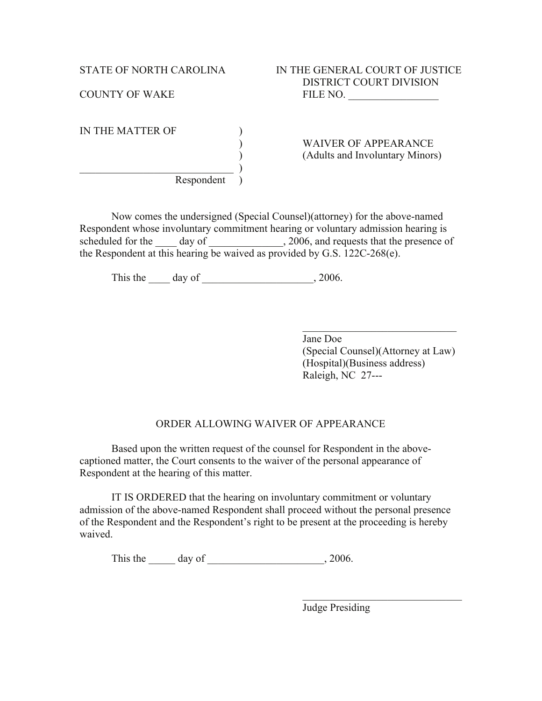IN THE MATTER OF )

 $\qquad \qquad )$ Respondent )

) WAIVER OF APPEARANCE ) (Adults and Involuntary Minors)

Now comes the undersigned (Special Counsel)(attorney) for the above-named Respondent whose involuntary commitment hearing or voluntary admission hearing is scheduled for the day of  $\qquad \qquad$ , 2006, and requests that the presence of the Respondent at this hearing be waived as provided by G.S. 122C-268(e).

This the day of  $\frac{1}{2006}$ ,  $\frac{2006}{2006}$ .

 $\mathcal{L}_\text{max}$  , where  $\mathcal{L}_\text{max}$  , we have the set of  $\mathcal{L}_\text{max}$ Jane Doe (Special Counsel)(Attorney at Law) (Hospital)(Business address) Raleigh, NC 27---

## ORDER ALLOWING WAIVER OF APPEARANCE

Based upon the written request of the counsel for Respondent in the abovecaptioned matter, the Court consents to the waiver of the personal appearance of Respondent at the hearing of this matter.

IT IS ORDERED that the hearing on involuntary commitment or voluntary admission of the above-named Respondent shall proceed without the personal presence of the Respondent and the Respondent's right to be present at the proceeding is hereby waived.

This the \_\_\_\_\_\_ day of \_\_\_\_\_\_\_\_\_\_\_\_\_\_\_\_\_\_\_\_\_\_\_\_\_\_, 2006.

Judge Presiding

 $\mathcal{L}_\text{max}$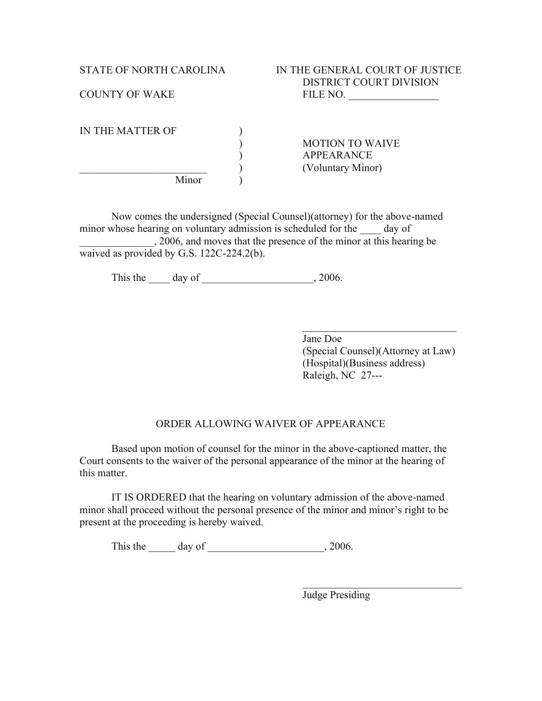| IN THE MATTER OF |  |
|------------------|--|
|                  |  |
|                  |  |
|                  |  |
| Minor            |  |

) MOTION TO WAIVE ) APPEARANCE \_\_\_\_\_\_\_\_\_\_\_\_\_\_\_\_\_\_\_\_\_\_\_\_ ) (Voluntary Minor)

Now comes the undersigned (Special Counsel)(attorney) for the above-named minor whose hearing on voluntary admission is scheduled for the day of \_\_\_\_\_\_\_\_\_\_\_\_\_\_, 2006, and moves that the presence of the minor at this hearing be waived as provided by G.S. 122C-224.2(b).

This the  $\_\_\_$  day of  $\_\_\_\_$ , 2006.

Jane Doe (Special Counsel)(Attorney at Law) (Hospital)(Business address) Raleigh, NC 27---

 $\mathcal{L}_\text{max}$  , where  $\mathcal{L}_\text{max}$  , we have the set of  $\mathcal{L}_\text{max}$ 

## ORDER ALLOWING WAIVER OF APPEARANCE

Based upon motion of counsel for the minor in the above-captioned matter, the Court consents to the waiver of the personal appearance of the minor at the hearing of this matter.

IT IS ORDERED that the hearing on voluntary admission of the above-named minor shall proceed without the personal presence of the minor and minor's right to be present at the proceeding is hereby waived.

This the  $\frac{day \text{ of } }{y}$ , 2006.

Judge Presiding

 $\mathcal{L}_\text{max}$  , where  $\mathcal{L}_\text{max}$  and  $\mathcal{L}_\text{max}$  and  $\mathcal{L}_\text{max}$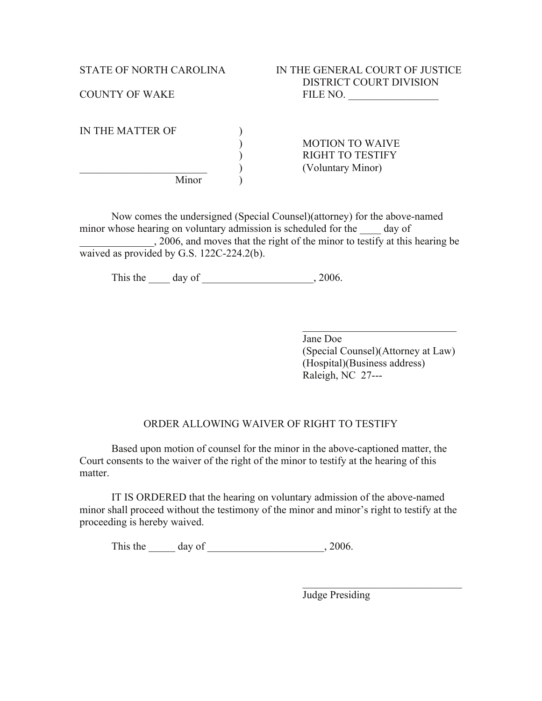| IN THE MATTER OF |                         |
|------------------|-------------------------|
|                  | <b>MOTION TO WAIVE</b>  |
|                  | <b>RIGHT TO TESTIFY</b> |
|                  | (Voluntary Minor)       |
| Minor            |                         |

Now comes the undersigned (Special Counsel)(attorney) for the above-named minor whose hearing on voluntary admission is scheduled for the day of \_\_\_\_\_\_\_\_\_\_\_\_\_\_, 2006, and moves that the right of the minor to testify at this hearing be waived as provided by G.S. 122C-224.2(b).

This the  $\_\_\_$  day of  $\_\_\_\_$ , 2006.

 $\mathcal{L}_\text{max}$  , where  $\mathcal{L}_\text{max}$  , we have the set of  $\mathcal{L}_\text{max}$ Jane Doe (Special Counsel)(Attorney at Law) (Hospital)(Business address) Raleigh, NC 27---

## ORDER ALLOWING WAIVER OF RIGHT TO TESTIFY

Based upon motion of counsel for the minor in the above-captioned matter, the Court consents to the waiver of the right of the minor to testify at the hearing of this matter.

IT IS ORDERED that the hearing on voluntary admission of the above-named minor shall proceed without the testimony of the minor and minor's right to testify at the proceeding is hereby waived.

This the  $\frac{day \text{ of } }{y}$ , 2006.

Judge Presiding

 $\mathcal{L}_\text{max}$  , where  $\mathcal{L}_\text{max}$  and  $\mathcal{L}_\text{max}$  and  $\mathcal{L}_\text{max}$